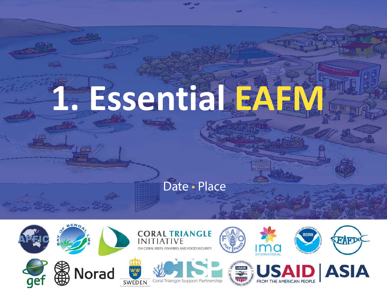# **1. Essential EAFM**

**Fall** 

### Date · Place

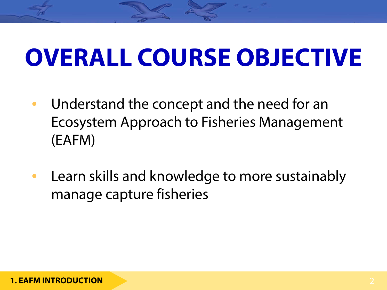### **OVERALL COURSE OBJECTIVE**

- Understand the concept and the need for an Ecosystem Approach to Fisheries Management (EAFM)
- Learn skills and knowledge to more sustainably manage capture fisheries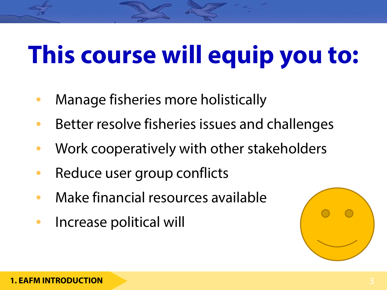### **This course will equip you to:**

- Manage fisheries more holistically
- Better resolve fisheries issues and challenges
- Work cooperatively with other stakeholders
- Reduce user group conflicts
- Make financial resources available
- Increase political will

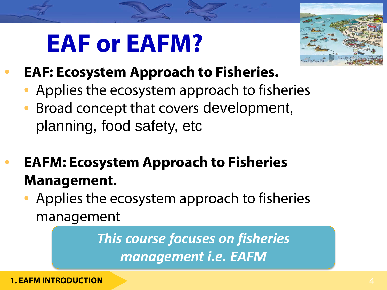### **EAF or EAFM?**



- **EAF: Ecosystem Approach to Fisheries.**
	- Applies the ecosystem approach to fisheries
	- Broad concept that covers development, planning, food safety, etc
- **EAFM: Ecosystem Approach to Fisheries Management.**
	- Applies the ecosystem approach to fisheries management

*This course focuses on fisheries management i.e. EAFM*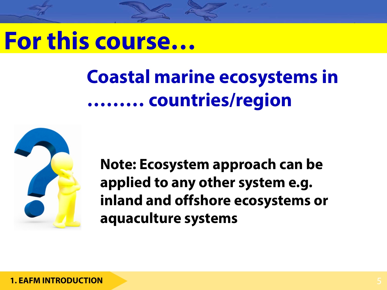### **For this course…**

### **Coastal marine ecosystems in ……… countries/region**



**Note: Ecosystem approach can be applied to any other system e.g. inland and offshore ecosystems or aquaculture systems**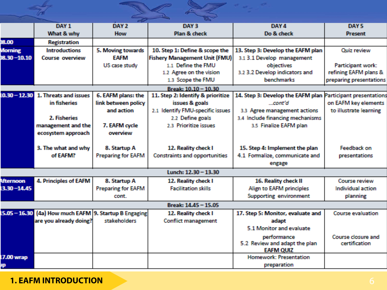|                      |                                          |                           | <b>GG</b>                            |                                                             |                          |
|----------------------|------------------------------------------|---------------------------|--------------------------------------|-------------------------------------------------------------|--------------------------|
|                      | DAY <sub>1</sub>                         | DAY <sub>2</sub>          | DAY 3                                | DAY 4                                                       | DAY <sub>5</sub>         |
|                      | What & why                               | <b>How</b>                | Plan & check                         | Do & check                                                  | <b>Present</b>           |
| 00.80                | <b>Registration</b>                      |                           |                                      |                                                             |                          |
| Morning              | <b>Introductions</b>                     | 5. Moving towards         | 10. Step 1: Define & scope the       | 13. Step 3: Develop the EAFM plan                           | Quiz review              |
| 8.30-10.10           | <b>Course overview</b>                   | <b>EAFM</b>               | <b>Fishery Management Unit (FMU)</b> | 3.1 3.1 Develop management                                  |                          |
|                      |                                          | US case study             | 1.1 Define the FMU                   | objectives                                                  | Participant work:        |
|                      |                                          |                           | 1.2 Agree on the vision              | 3.2 3.2 Develop indicators and                              | refining EAFM plans &    |
|                      |                                          |                           | 1.3 Scope the FMU                    | <b>benchmarks</b>                                           | preparing presentations  |
| Break: 10.10 - 10.30 |                                          |                           |                                      |                                                             |                          |
| $10.30 - 12.30$      | 1. Threats and issues                    | 6. EAFM plans: the        | 11. Step 2: Identify & prioritize    | 14. Step 3: Develop the EAFM plan Participant presentations |                          |
|                      | in fisheries.                            | link between policy       | issues & goals                       | - cont'd                                                    | on EAFM key elements     |
|                      |                                          | and action                | 2.1 Identify FMU-specific issues     | 3.3 Agree management actions                                | to illustrate learning   |
|                      | 2. Fisheries                             |                           | 2.2 Define goals                     | 3.4 Include financing mechanisms                            |                          |
|                      | management and the                       | 7. EAFM cycle             | 2.3 Prioritize issues                | 3.5 Finalize EAFM plan                                      |                          |
|                      | ecosystem approach                       | coverview                 |                                      |                                                             |                          |
|                      |                                          |                           |                                      |                                                             |                          |
|                      | 3. The what and why                      | 8. Startup A              | 12. Reality check I                  | 15. Step 4: Implement the plan                              | <b>Feedback on</b>       |
|                      | of FAFM?                                 | <b>Preparing for EAFM</b> | <b>Constraints and opportunities</b> | 4.1 Formalize, communicate and                              | <b>presentations</b>     |
|                      |                                          |                           |                                      | engage                                                      |                          |
| Lunch: 12.30 - 13.30 |                                          |                           |                                      |                                                             |                          |
| <b>Afternoon</b>     | 4. Principles of EAFM                    | 8. Startup A              | 12. Reality check I                  | 16. Reality check II                                        | <b>Course review</b>     |
| $13.30 - 14.45$      |                                          | <b>Preparing for EAFM</b> | <b>Facilitation skills</b>           | Align to EAFM principles                                    | Individual action        |
|                      |                                          | cont.                     |                                      | <b>Supporting environment</b>                               | planning                 |
| Break: 14.45 - 15.05 |                                          |                           |                                      |                                                             |                          |
| $15.05 - 16.30$      | (4a) How much EAFM 9. Startup B Engaging |                           | 12. Reality check I                  | 17. Step 5: Monitor, evaluate and                           | <b>Course evaluation</b> |
|                      | are you already doing?                   | stakeholders              | <b>Conflict management</b>           | adapt                                                       |                          |
|                      |                                          |                           |                                      | 5.1 Monitor and evaluate                                    |                          |
|                      |                                          |                           |                                      | performance                                                 | Course closure and       |
|                      |                                          |                           |                                      | 5.2 Review and adapt the plan                               | certification            |
|                      |                                          |                           |                                      | <b>EAFM QUIZ</b>                                            |                          |
| <b>7.00 wrap</b>     |                                          |                           |                                      | <b>Homework: Presentation</b>                               |                          |
| 顺                    |                                          |                           |                                      | preparation                                                 |                          |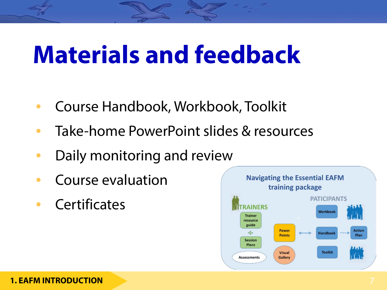### **Materials and feedback**

- Course Handbook, Workbook, Toolkit
- Take-home PowerPoint slides & resources
- Daily monitoring and review
- Course evaluation
- Certificates

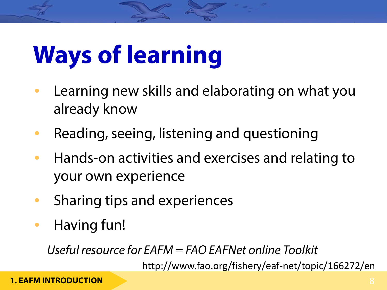## **Ways of learning**

- Learning new skills and elaborating on what you already know
- Reading, seeing, listening and questioning
- Hands-on activities and exercises and relating to your own experience
- Sharing tips and experiences
- Having fun!

*Useful resource for EAFM = FAO EAFNet online Toolkit*

http://www.fao.org/fishery/eaf-net/topic/166272/en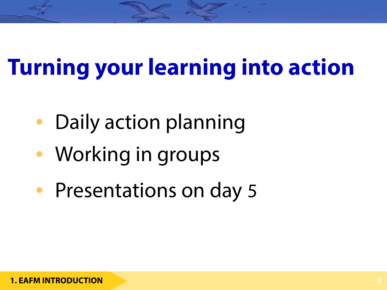### **Turning your learning into action**

- Daily action planning
- Working in groups
- Presentations on day 5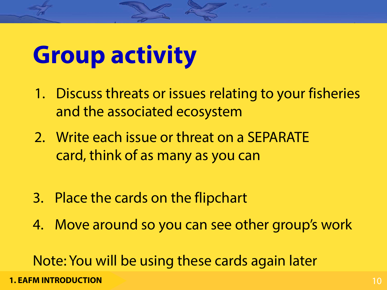### **Group activity**

- 1. Discuss threats or issues relating to your fisheries and the associated ecosystem
- 2. Write each issue or threat on a SEPARATE card, think of as many as you can
- 3. Place the cards on the flipchart
- 4. Move around so you can see other group's work

Note: You will be using these cards again later